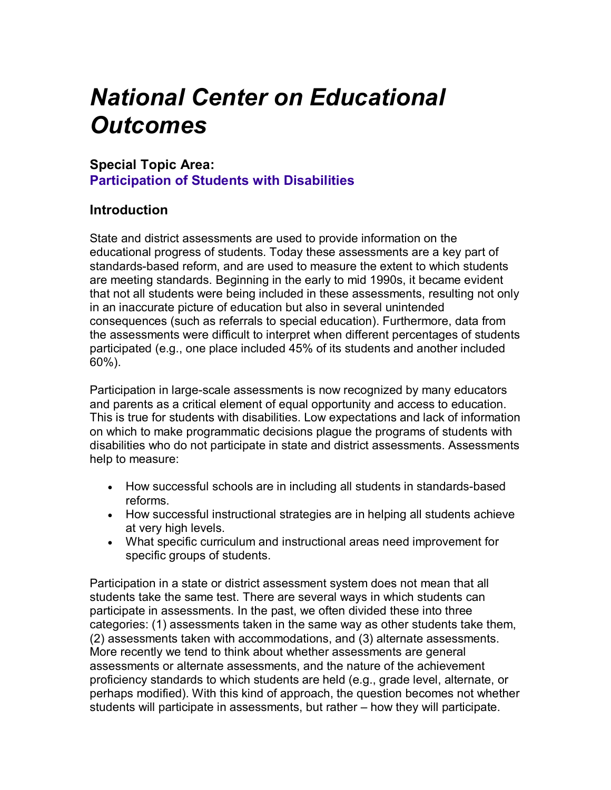## *National Center on Educational Outcomes*

## **Special Topic Area: Participation of Students with Disabilities**

## **Introduction**

 that not all students were being included in these assessments, resulting not only participated (e.g., one place included 45% of its students and another included State and district assessments are used to provide information on the educational progress of students. Today these assessments are a key part of standards-based reform, and are used to measure the extent to which students are meeting standards. Beginning in the early to mid 1990s, it became evident in an inaccurate picture of education but also in several unintended consequences (such as referrals to special education). Furthermore, data from the assessments were difficult to interpret when different percentages of students 60%).

Participation in large-scale assessments is now recognized by many educators and parents as a critical element of equal opportunity and access to education. This is true for students with disabilities. Low expectations and lack of information on which to make programmatic decisions plague the programs of students with disabilities who do not participate in state and district assessments. Assessments help to measure:

- How successful schools are in including all students in standards-based reforms.
- How successful instructional strategies are in helping all students achieve at very high levels.
- What specific curriculum and instructional areas need improvement for specific groups of students.

Participation in a state or district assessment system does not mean that all students take the same test. There are several ways in which students can participate in assessments. In the past, we often divided these into three categories: (1) assessments taken in the same way as other students take them, (2) assessments taken with accommodations, and (3) alternate assessments. More recently we tend to think about whether assessments are general assessments or alternate assessments, and the nature of the achievement proficiency standards to which students are held (e.g., grade level, alternate, or perhaps modified). With this kind of approach, the question becomes not whether students will participate in assessments, but rather – how they will participate.